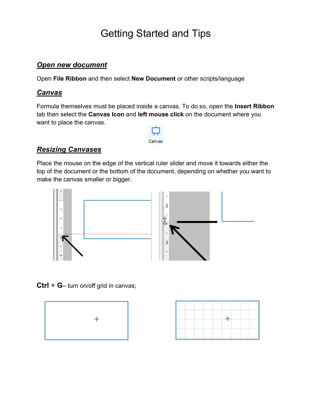# Getting Started and Tips

### *Open new document*

Open **File Ribbon** and then select **New Document** or other scripts/language

#### *Canvas*

Formula themselves must be placed inside a canvas. To do so, open the **Insert Ribbon** tab then select the **Canvas Icon** and **left mouse click** on the document where you want to place the canvas.



### *Resizing Canvases*

Place the mouse on the edge of the vertical ruler slider and move it towards either the top of the document or the bottom of the document, depending on whether you want to make the canvas smaller or bigger.



**Ctrl** + **G**– turn on/off grid in canvas;



|  | $^{\pm\pm}$ |  |
|--|-------------|--|
|  |             |  |
|  |             |  |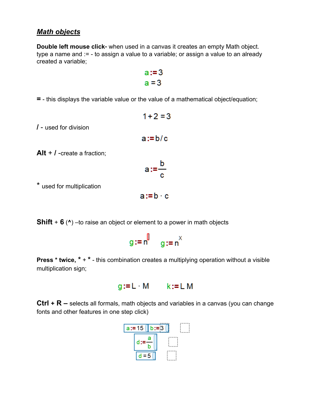#### *Math objects*

**Double left mouse click-** when used in a canvas it creates an empty Math object. type a name and := - to assign a value to a variable; or assign a value to an already created a variable;

**=** - this displays the variable value or the value of a mathematical object/equation;

 $1+2=3$ **/** - used for division  $a := b/c$ **Alt** + **/** -create a fraction;  $\frac{b}{\sqrt{2}}$ 

$$
a:=\frac{1}{\epsilon}
$$

 $a:=b \cdot c$ 

\* used for multiplication

**Shift** + **6** (**^**) –to raise an object or element to a power in math objects



**Press \* twice, \* + \*** - this combination creates a multiplying operation without a visible multiplication sign;

$$
g:=L \quad M \qquad k:=L \; M
$$

**Ctrl + R –** selects all formals, math objects and variables in a canvas (you can change fonts and other features in one step click)

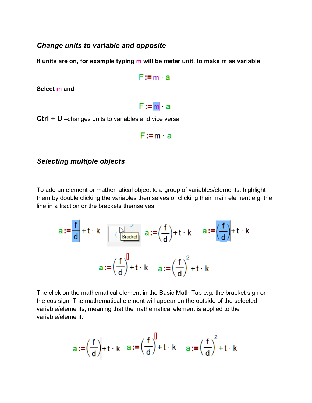#### *Change units to variable and opposite*

**If units are on, for example typing m will be meter unit, to make m as variable**

```
F:=m a
```
**Select m and** 

## $F := m$  a

**Ctrl** + **U** –changes units to variables and vice versa

$$
F:=m
$$
 a

#### *Selecting multiple objects*

To add an element or mathematical object to a group of variables/elements, highlight them by double clicking the variables themselves or clicking their main element e.g. the line in a fraction or the brackets themselves.

$$
a := \frac{f}{d} + t \quad k \quad \text{R\n
$$
a := \left(\frac{f}{d}\right) + t \quad k \quad a := \left(\frac{f}{d}\right) + t \quad k
$$
\n
$$
a := \left(\frac{f}{d}\right)^{l} + t \quad k \quad a := \left(\frac{f}{d}\right)^{2} + t \quad k
$$
$$

The click on the mathematical element in the Basic Math Tab e.g. the bracket sign or the cos sign. The mathematical element will appear on the outside of the selected variable/elements, meaning that the mathematical element is applied to the variable/element.

$$
a := \left(\frac{f}{d}\right) + t \cdot k \quad a := \left(\frac{f}{d}\right)^{0} + t \cdot k \quad a := \left(\frac{f}{d}\right)^{2} + t \cdot k
$$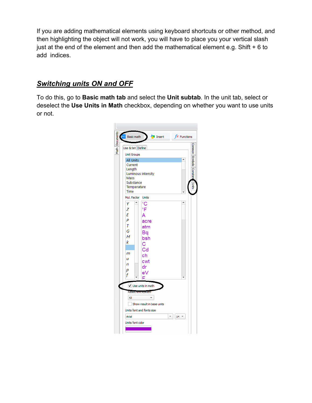If you are adding mathematical elements using keyboard shortcuts or other method, and then highlighting the object will not work, you will have to place you your vertical slash just at the end of the element and then add the mathematical element e.g. Shift + 6 to add indices.

### *Switching units ON and OFF*

To do this, go to **Basic math tab** and select the **Unit subtab**. In the unit tab, select or deselect the **Use Units in Math** checkbox, depending on whether you want to use units or not.

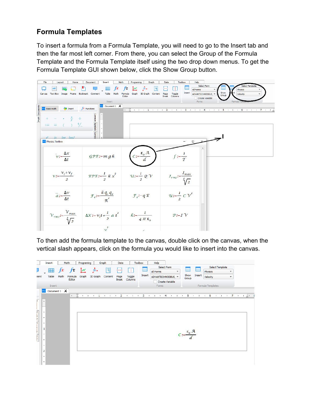### **Formula Templates**

To insert a formula from a Formula Template, you will need to go to the Insert tab and then the far most left corner. From there, you can select the Group of the Formula Template and the Formula Template itself using the two drop down menus. To get the Formula Template GUI shown below, click the Show Group button.



To then add the formula template to the canvas, double click on the canvas, when the vertical slash appears, click on the formula you would like to insert into the canvas.

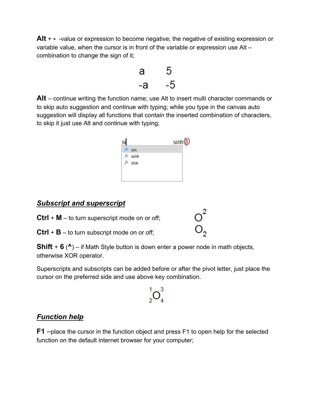**Alt** + **-** -value or expression to become negative; the negative of existing expression or variable value, when the cursor is in front of the variable or expression use Alt – combination to change the sign of it;



**Alt** – continue writing the function name; use Alt to insert multi character commands or to skip auto suggestion and continue with typing; while you type in the canvas auto suggestion will display all functions that contain the inserted combination of characters, to skip it just use Alt and continue with typing;



### *Subscript and superscript*

**Ctrl** + **M** – to turn superscript mode on or off;

**Ctrl** + **B** – to turn subscript mode on or off;

**Shift** + **6** (**^**) – if Math Style button is down enter a power node in math objects, otherwise XOR operator.

Superscripts and subscripts can be added before or after the pivot letter, just place the cursor on the preferred side and use above key combination.

 $\int_{2}^{1}$ O<sub>4</sub><sup>3</sup>

### *Function help*

**F1** –place the cursor in the function object and press F1 to open help for the selected function on the default internet browser for your computer;

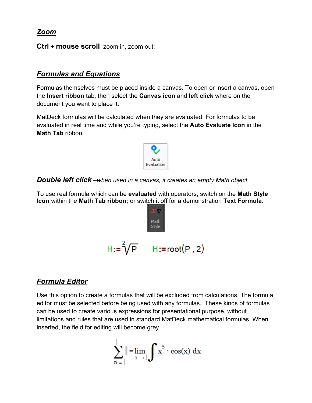*Zoom*

**Ctrl** + **mouse scroll**–zoom in, zoom out;

### *Formulas and Equations*

Formulas themselves must be placed inside a canvas. To open or insert a canvas, open the **Insert ribbon** tab, then select the **Canvas icon** and **left click** where on the document you want to place it.

MatDeck formulas will be calculated when they are evaluated. For formulas to be evaluated in real time and while you're typing, select the **Auto Evaluate Icon** in the **Math Tab** ribbon.



*Double left click –when used in a canvas, it creates an empty Math object.*

To use real formula which can be **evaluated** with operators, switch on the **Math Style Icon** within the **Math Tab ribbon;** or switch it off for a demonstration **Text Formula**.



### *Formula Editor*

Use this option to create a formulas that will be excluded from calculations. The formula editor must be selected before being used with any formulas. These kinds of formulas can be used to create various expressions for presentational purpose, without limitations and rules that are used in standard MatDeck mathematical formulas. When inserted, the field for editing will become grey.

$$
\sum_{n=1}^{j} \|\lim_{x \to j} \int x^5 \cdot \cos(x) \, dx
$$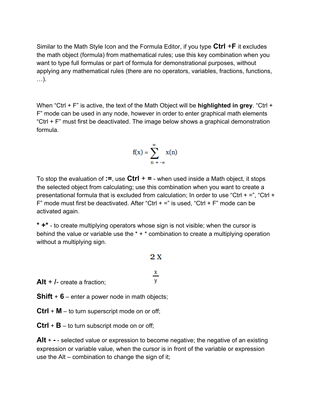Similar to the Math Style Icon and the Formula Editor, if you type **Ctrl** +**F** it excludes the math object (formula) from mathematical rules; use this key combination when you want to type full formulas or part of formula for demonstrational purposes, without applying any mathematical rules (there are no operators, variables, fractions, functions, …).

When "Ctrl + F" is active, the text of the Math Object will be **highlighted in grey**. "Ctrl + F" mode can be used in any node, however in order to enter graphical math elements "Ctrl + F" must first be deactivated. The image below shows a graphical demonstration formula.

$$
f(x) = \sum_{n = -\infty}^{\infty} x(n)
$$

To stop the evaluation of **:=**, use **Ctrl** + **=** - when used inside a Math object, it stops the selected object from calculating; use this combination when you want to create a presentational formula that is excluded from calculation; In order to use "Ctrl + =", "Ctrl + F" mode must first be deactivated. After "Ctrl  $+ =$ " is used, "Ctrl  $+ =$ " mode can be activated again.

**\* +\*** - to create multiplying operators whose sign is not visible; when the cursor is behind the value or variable use the  $* + *$  combination to create a multiplying operation without a multiplying sign.

 $2X$ 

| Alt $+$ /- create a fraction; |  |
|-------------------------------|--|

**Shift** + **6** – enter a power node in math objects;

**Ctrl** + **M** – to turn superscript mode on or off;

**Ctrl** + **B** – to turn subscript mode on or off;

**Alt** + **-** - selected value or expression to become negative; the negative of an existing expression or variable value, when the cursor is in front of the variable or expression use the Alt – combination to change the sign of it;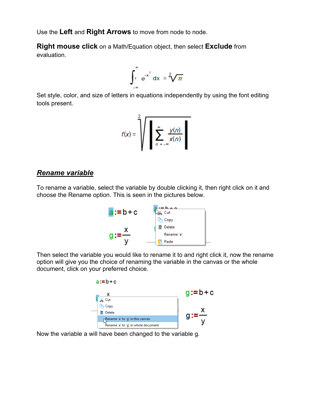Use the **Left** and **Right Arrows** to move from node to node.

**Right mouse click** on a Math/Equation object, then select **Exclude** from evaluation.

$$
\int_{r}^{\infty} e^{-x^2} dx = \sqrt[2]{\pi}
$$

Set style, color, and size of letters in equations independently by using the font editing tools present.

$$
f(x) = \sqrt{\sum_{n = -\infty}^{\infty} \frac{y(n)}{x(n)}}
$$

#### *Rename variable*

To rename a variable, select the variable by double clicking it, then right click on it and choose the Rename option. This is seen in the pictures below.



Then select the variable you would like to rename it to and right click it, now the rename option will give you the choice of renaming the variable in the canvas or the whole document, click on your preferred choice.



Now the variable a will have been changed to the variable g.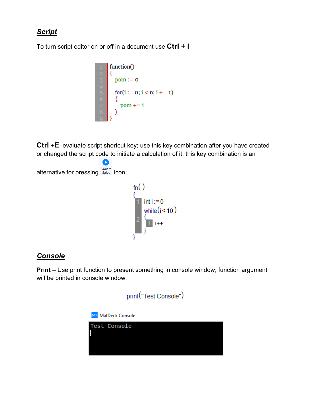### *Script*

To turn script editor on or off in a document use **Ctrl + I**



**Ctrl** +**E**–evaluate script shortcut key; use this key combination after you have created or changed the script code to initiate a calculation of it, this key combination is an

```
\bulletalternative for pressing Evaluate icon;
                                                   f_n()1 int i := 0<br>while (i < 10 )<br>2 \frac{1}{1} i ++
```
### *Console*

**Print** – Use print function to present something in console window; function argument will be printed in console window

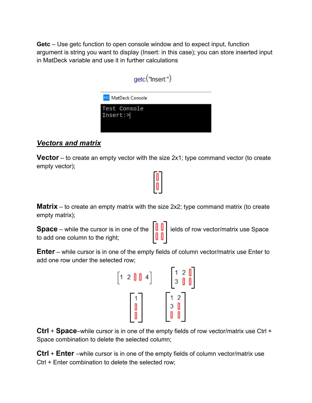**Getc** – Use getc function to open console window and to expect input, function argument is string you want to display (Insert: in this case); you can store inserted input in MatDeck variable and use it in further calculations

| getc("Insert:")          |
|--------------------------|
| MD MatDeck Console       |
| Test Console<br>Insert:> |

### *Vectors and matrix*

**Vector** – to create an empty vector with the size 2x1; type command vector (to create empty vector);

**Matrix** – to create an empty matrix with the size 2x2; type command matrix (to create empty matrix);

**Space** – while the cursor is in one of the  $\left|\frac{\mu}{\mu}\right|$  ields of row vector/matrix use Space to add one column to the right;



**Enter** – while cursor is in one of the empty fields of column vector/matrix use Enter to add one row under the selected row;



**Ctrl** + **Space**–while cursor is in one of the empty fields of row vector/matrix use Ctrl + Space combination to delete the selected column;

**Ctrl** + **Enter** –while cursor is in one of the empty fields of column vector/matrix use Ctrl + Enter combination to delete the selected row;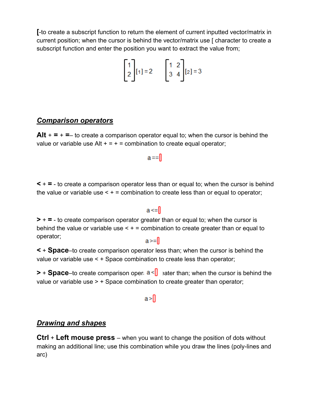**[**-to create a subscript function to return the element of current inputted vector/matrix in current position; when the cursor is behind the vector/matrix use [ character to create a subscript function and enter the position you want to extract the value from;

$$
\begin{bmatrix} 1 \\ 2 \end{bmatrix} [1] = 2 \qquad \begin{bmatrix} 1 & 2 \\ 3 & 4 \end{bmatrix} [2] = 3
$$

#### *Comparison operators*

**Alt**  $+ = + =$  to create a comparison operator equal to; when the cursor is behind the value or variable use Alt  $+ = + =$  combination to create equal operator;

 $a == 0$ 

**<** + **=** - to create a comparison operator less than or equal to; when the cursor is behind the value or variable use  $\leq +$  = combination to create less than or equal to operator;

#### $a \leq 0$

**>** + **=** - to create comparison operator greater than or equal to; when the cursor is behind the value or variable use  $\leq +1$  combination to create greater than or equal to operator;

 $a>=$ 

**<** + **Space**–to create comparison operator less than; when the cursor is behind the value or variable use < + Space combination to create less than operator;

**>** + **Space**–to create comparison oper  $a \le \mathbf{r}$  eater than; when the cursor is behind the value or variable use > + Space combination to create greater than operator;

 $a > \prod$ 

### *Drawing and shapes*

**Ctrl** + **Left mouse press** – when you want to change the position of dots without making an additional line; use this combination while you draw the lines (poly-lines and arc)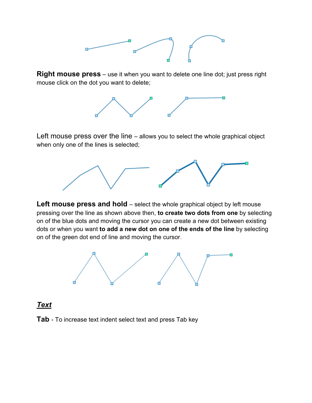

**Right mouse press** – use it when you want to delete one line dot; just press right mouse click on the dot you want to delete;



Left mouse press over the line – allows you to select the whole graphical object when only one of the lines is selected;



**Left mouse press and hold** – select the whole graphical object by left mouse pressing over the line as shown above then, **to create two dots from one** by selecting on of the blue dots and moving the cursor you can create a new dot between existing dots or when you want **to add a new dot on one of the ends of the line** by selecting on of the green dot end of line and moving the cursor.



### *Text*

**Tab** - To increase text indent select text and press Tab key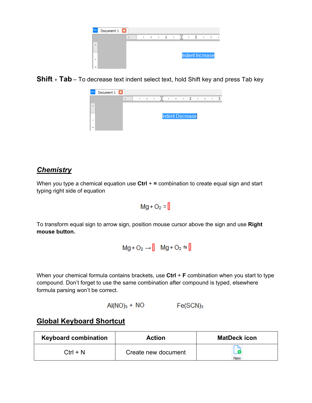

**Shift** + **Tab** – To decrease text indent select text, hold Shift key and press Tab key



### *Chemistry*

When you type a chemical equation use **Ctrl** + **=** combination to create equal sign and start typing right side of equation

$$
Mg + O_2 = \emptyset
$$

To transform equal sign to arrow sign, position mouse cursor above the sign and use **Right mouse button.**

$$
Mg + O_2 \rightarrow \parallel Mg + O_2 \stackrel{+}{\rightarrow} \parallel
$$

When your chemical formula contains brackets, use **Ctrl** + **F** combination when you start to type compound. Don't forget to use the same combination after compound is typed, elsewhere formula parsing won't be correct.

$$
AI(NO)3 + NO Fe(SCN)3
$$

### **Global Keyboard Shortcut**

| <b>Keyboard combination</b> | <b>Action</b>       | <b>MatDeck icon</b> |  |
|-----------------------------|---------------------|---------------------|--|
| $Ctrl + N$                  | Create new document |                     |  |
|                             |                     | New                 |  |